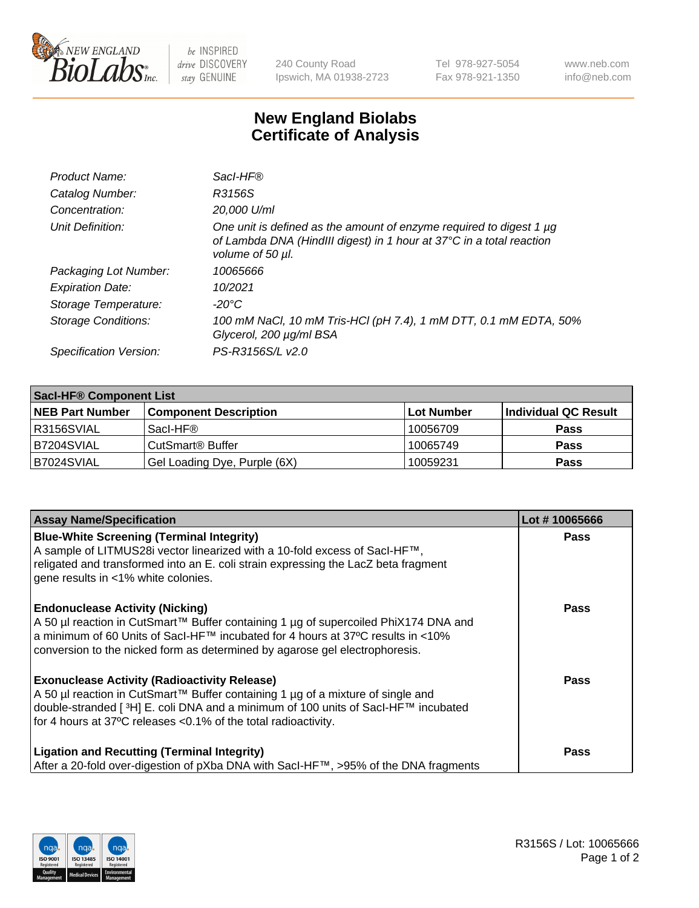

 $be$  INSPIRED drive DISCOVERY stay GENUINE

240 County Road Ipswich, MA 01938-2723 Tel 978-927-5054 Fax 978-921-1350 www.neb.com info@neb.com

## **New England Biolabs Certificate of Analysis**

| Product Name:              | Sacl-HF®                                                                                                                                                        |
|----------------------------|-----------------------------------------------------------------------------------------------------------------------------------------------------------------|
| Catalog Number:            | R3156S                                                                                                                                                          |
| Concentration:             | 20,000 U/ml                                                                                                                                                     |
| Unit Definition:           | One unit is defined as the amount of enzyme required to digest 1 µg<br>of Lambda DNA (HindIII digest) in 1 hour at 37°C in a total reaction<br>volume of 50 µl. |
| Packaging Lot Number:      | 10065666                                                                                                                                                        |
| <b>Expiration Date:</b>    | 10/2021                                                                                                                                                         |
| Storage Temperature:       | -20°C                                                                                                                                                           |
| <b>Storage Conditions:</b> | 100 mM NaCl, 10 mM Tris-HCl (pH 7.4), 1 mM DTT, 0.1 mM EDTA, 50%<br>Glycerol, 200 µg/ml BSA                                                                     |
| Specification Version:     | PS-R3156S/L v2.0                                                                                                                                                |

| <b>Saci-HF® Component List</b> |                              |            |                      |  |  |
|--------------------------------|------------------------------|------------|----------------------|--|--|
| <b>NEB Part Number</b>         | <b>Component Description</b> | Lot Number | Individual QC Result |  |  |
| I R3156SVIAL                   | Sacl-HF®                     | 10056709   | <b>Pass</b>          |  |  |
| B7204SVIAL                     | CutSmart <sup>®</sup> Buffer | 10065749   | <b>Pass</b>          |  |  |
| IB7024SVIAL                    | Gel Loading Dye, Purple (6X) | 10059231   | <b>Pass</b>          |  |  |

| <b>Assay Name/Specification</b>                                                                                                                                                                                                                                                                             | Lot #10065666 |
|-------------------------------------------------------------------------------------------------------------------------------------------------------------------------------------------------------------------------------------------------------------------------------------------------------------|---------------|
| <b>Blue-White Screening (Terminal Integrity)</b><br>A sample of LITMUS28i vector linearized with a 10-fold excess of SacI-HF™,<br>religated and transformed into an E. coli strain expressing the LacZ beta fragment<br>gene results in <1% white colonies.                                                 | <b>Pass</b>   |
| <b>Endonuclease Activity (Nicking)</b><br>A 50 µl reaction in CutSmart™ Buffer containing 1 µg of supercoiled PhiX174 DNA and<br>a minimum of 60 Units of Sacl-HF™ incubated for 4 hours at 37°C results in <10%<br>conversion to the nicked form as determined by agarose gel electrophoresis.             | <b>Pass</b>   |
| <b>Exonuclease Activity (Radioactivity Release)</b><br>A 50 µl reaction in CutSmart™ Buffer containing 1 µg of a mixture of single and<br>double-stranded [ <sup>3</sup> H] E. coli DNA and a minimum of 100 units of Sacl-HF™ incubated<br>for 4 hours at 37°C releases < 0.1% of the total radioactivity. | <b>Pass</b>   |
| <b>Ligation and Recutting (Terminal Integrity)</b><br>After a 20-fold over-digestion of pXba DNA with Sacl-HF™, >95% of the DNA fragments                                                                                                                                                                   | <b>Pass</b>   |